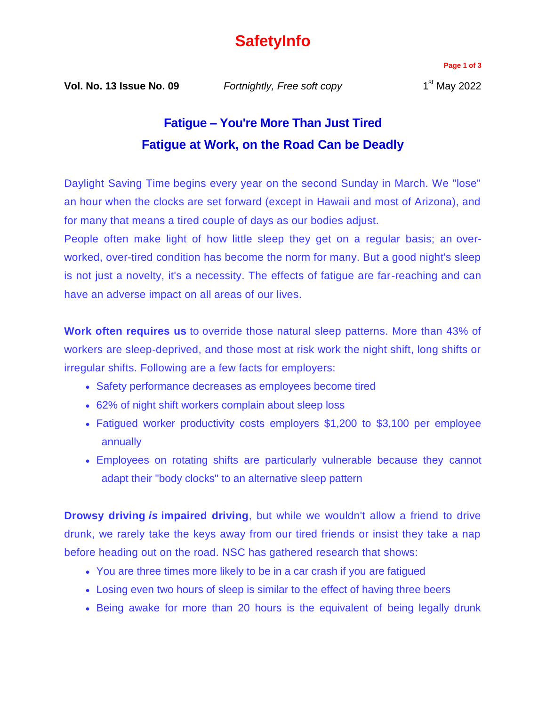## **SafetyInfo**

**Page 1 of 3**

**Vol. No. 13 Issue No. 09** *Fortnightly, Free soft copy* 1

## **Fatigue – You're More Than Just Tired Fatigue at Work, on the Road Can be Deadly**

Daylight Saving Time begins every year on the second Sunday in March. We "lose" an hour when the clocks are set forward (except in Hawaii and most of Arizona), and for many that means a tired couple of days as our bodies adjust.

People often make light of how little sleep they get on a regular basis; an overworked, over-tired condition has become the norm for many. But a good night's sleep is not just a novelty, it's a necessity. The effects of fatigue are far-reaching and can have an adverse impact on all areas of our lives.

**Work often requires us** to override those natural sleep patterns. More than 43% of workers are sleep-deprived, and those most at risk work the night shift, long shifts or irregular shifts. Following are a few facts for employers:

- Safety performance decreases as employees become tired
- 62% of night shift workers complain about sleep loss
- Fatigued worker productivity costs employers \$1,200 to \$3,100 per employee annually
- Employees on rotating shifts are particularly vulnerable because they cannot adapt their "body clocks" to an alternative sleep pattern

**Drowsy driving** *is* **impaired driving**, but while we wouldn't allow a friend to drive drunk, we rarely take the keys away from our tired friends or insist they take a nap before heading out on the road. NSC has gathered research that shows:

- You are three times more likely to be in a car crash if you are fatigued
- Losing even two hours of sleep is similar to the effect of having three beers
- Being awake for more than 20 hours is the equivalent of being legally drunk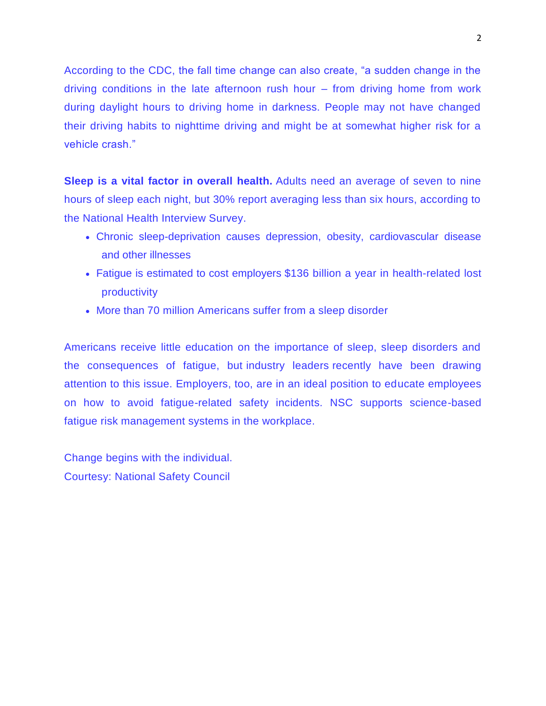According to the CDC, the fall time change can also create, "a sudden change in the driving conditions in the late afternoon rush hour – from driving home from work during daylight hours to driving home in darkness. People may not have changed their driving habits to nighttime driving and might be at somewhat higher risk for a vehicle crash."

**Sleep is a vital factor in overall health.** Adults need an average of seven to nine hours of sleep each night, but 30% report averaging less than six hours, according to the National Health Interview Survey.

- Chronic sleep-deprivation causes depression, obesity, cardiovascular disease and other illnesses
- Fatigue is estimated to cost employers \$136 billion a year in health-related lost productivity
- More than 70 million Americans suffer from a sleep disorder

Americans receive little education on the importance of sleep, sleep disorders and the consequences of fatigue, but industry leaders recently have been drawing attention to this issue. Employers, too, are in an ideal position to educate employees on how to avoid fatigue-related safety incidents. NSC supports science-based fatigue risk management systems in the workplace.

Change begins with the individual. Courtesy: National Safety Council